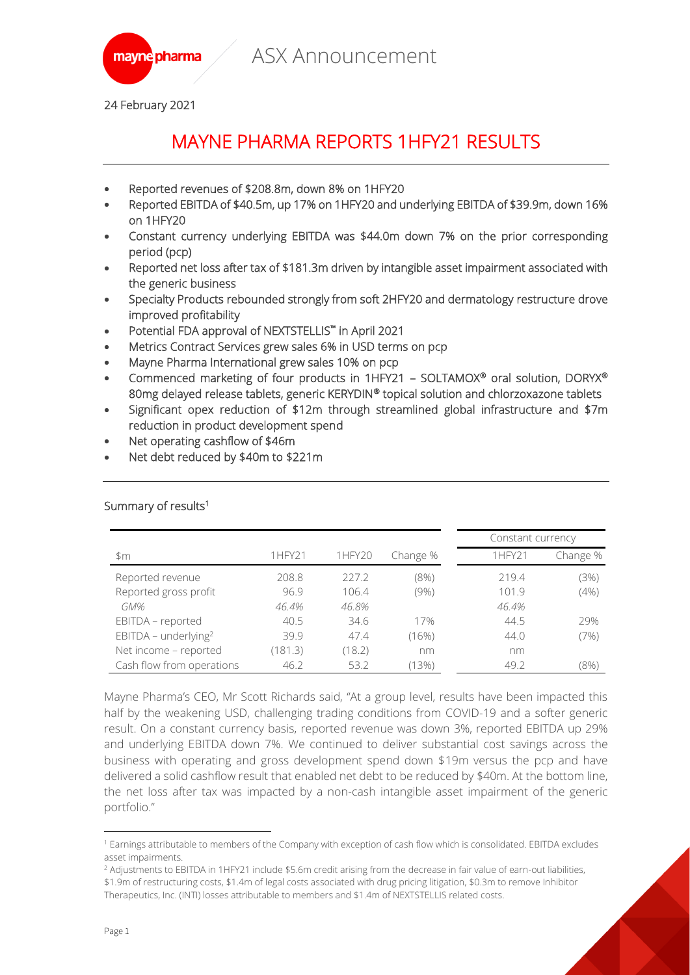



24 February 2021

# MAYNE PHARMA REPORTS 1HFY21 RESULTS

- Reported revenues of \$208.8m, down 8% on 1HFY20
- Reported EBITDA of \$40.5m, up 17% on 1HFY20 and underlying EBITDA of \$39.9m, down 16% on 1HFY20
- Constant currency underlying EBITDA was \$44.0m down 7% on the prior corresponding period (pcp)
- Reported net loss after tax of \$181.3m driven by intangible asset impairment associated with the generic business
- Specialty Products rebounded strongly from soft 2HFY20 and dermatology restructure drove improved profitability
- Potential FDA approval of NEXTSTELLIS™ in April 2021
- Metrics Contract Services grew sales 6% in USD terms on pcp
- Mayne Pharma International grew sales 10% on pcp
- Commenced marketing of four products in 1HFY21 SOLTAMOX® oral solution, DORYX® 80mg delayed release tablets, generic KERYDIN® topical solution and chlorzoxazone tablets
- Significant opex reduction of \$12m through streamlined global infrastructure and \$7m reduction in product development spend
- Net operating cashflow of \$46m
- Net debt reduced by \$40m to \$221m

|                           |         |        |          | Constant currency |          |
|---------------------------|---------|--------|----------|-------------------|----------|
| \$m                       | 1HFY21  | 1HFY20 | Change % | 1HFY21            | Change % |
| Reported revenue          | 208.8   | 227.2  | (8%)     | 219.4             | (3%)     |
| Reported gross profit     | 96.9    | 106.4  | $(9\%)$  | 101.9             | (4% )    |
| GM%                       | 46.4%   | 46.8%  |          | 46.4%             |          |
| EBITDA - reported         | 40.5    | 34.6   | 17%      | 44.5              | 29%      |
| EBITDA - underlying $2$   | 39.9    | 47.4   | (16%)    | 44.0              | (7%)     |
| Net income - reported     | (181.3) | (18.2) | nm       | nm                |          |
| Cash flow from operations | 46.2    | 53.2   | (13%)    | 49.2              | $(8\%)$  |

### Summary of results<sup>1</sup>

Mayne Pharma's CEO, Mr Scott Richards said, "At a group level, results have been impacted this half by the weakening USD, challenging trading conditions from COVID-19 and a softer generic result. On a constant currency basis, reported revenue was down 3%, reported EBITDA up 29% and underlying EBITDA down 7%. We continued to deliver substantial cost savings across the business with operating and gross development spend down \$19m versus the pcp and have delivered a solid cashflow result that enabled net debt to be reduced by \$40m. At the bottom line, the net loss after tax was impacted by a non-cash intangible asset impairment of the generic portfolio."

<sup>1</sup> Earnings attributable to members of the Company with exception of cash flow which is consolidated. EBITDA excludes asset impairments.

<sup>&</sup>lt;sup>2</sup> Adjustments to EBITDA in 1HFY21 include \$5.6m credit arising from the decrease in fair value of earn-out liabilities, \$1.9m of restructuring costs, \$1.4m of legal costs associated with drug pricing litigation, \$0.3m to remove Inhibitor Therapeutics, Inc. (INTI) losses attributable to members and \$1.4m of NEXTSTELLIS related costs.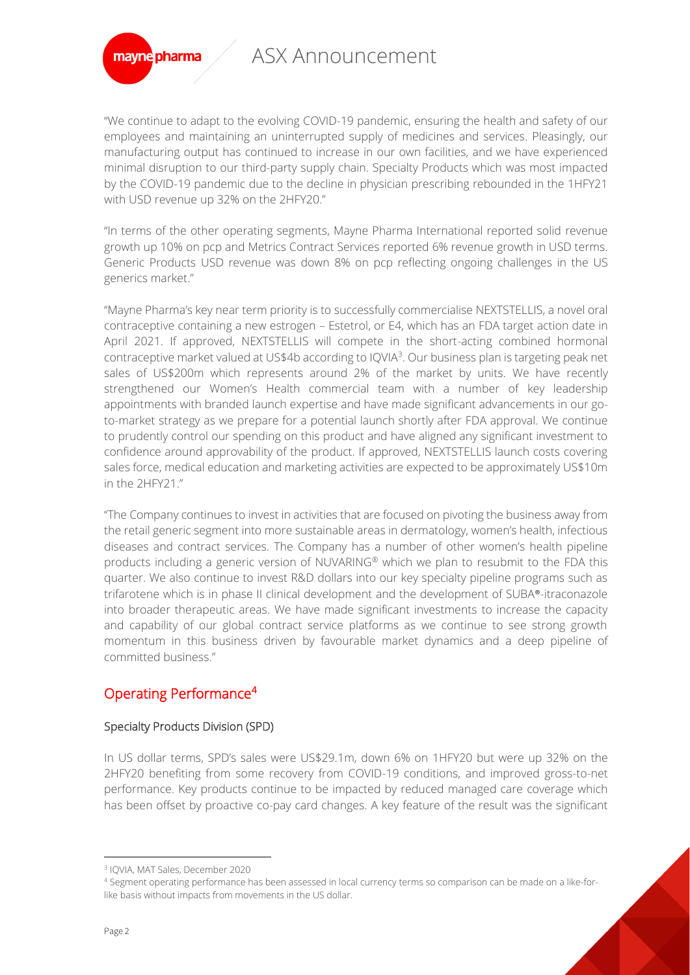

"We continue to adapt to the evolving COVID-19 pandemic, ensuring the health and safety of our employees and maintaining an uninterrupted supply of medicines and services. Pleasingly, our manufacturing output has continued to increase in our own facilities, and we have experienced minimal disruption to our third-party supply chain. Specialty Products which was most impacted by the COVID-19 pandemic due to the decline in physician prescribing rebounded in the 1HFY21 with USD revenue up 32% on the 2HFY20."

"In terms of the other operating segments, Mayne Pharma International reported solid revenue growth up 10% on pcp and Metrics Contract Services reported 6% revenue growth in USD terms. Generic Products USD revenue was down 8% on pcp reflecting ongoing challenges in the US generics market."

"Mayne Pharma's key near term priority is to successfully commercialise NEXTSTELLIS, a novel oral contraceptive containing a new estrogen – Estetrol, or E4, which has an FDA target action date in April 2021. If approved, NEXTSTELLIS will compete in the short-acting combined hormonal contraceptive market valued at US\$4b according to IQVIA<sup>3</sup>. Our business plan is targeting peak net sales of US\$200m which represents around 2% of the market by units. We have recently strengthened our Women's Health commercial team with a number of key leadership appointments with branded launch expertise and have made significant advancements in our goto-market strategy as we prepare for a potential launch shortly after FDA approval. We continue to prudently control our spending on this product and have aligned any significant investment to confidence around approvability of the product. If approved, NEXTSTELLIS launch costs covering sales force, medical education and marketing activities are expected to be approximately US\$10m in the 2HFY21."

"The Company continues to invest in activities that are focused on pivoting the business away from the retail generic segment into more sustainable areas in dermatology, women's health, infectious diseases and contract services. The Company has a number of other women's health pipeline products including a generic version of NUVARING® which we plan to resubmit to the FDA this quarter. We also continue to invest R&D dollars into our key specialty pipeline programs such as trifarotene which is in phase II clinical development and the development of SUBA®-itraconazole into broader therapeutic areas. We have made significant investments to increase the capacity and capability of our global contract service platforms as we continue to see strong growth momentum in this business driven by favourable market dynamics and a deep pipeline of committed business."

## Operating Performance<sup>4</sup>

### Specialty Products Division (SPD)

In US dollar terms, SPD's sales were US\$29.1m, down 6% on 1HFY20 but were up 32% on the 2HFY20 benefiting from some recovery from COVID-19 conditions, and improved gross-to-net performance. Key products continue to be impacted by reduced managed care coverage which has been offset by proactive co-pay card changes. A key feature of the result was the significant

<sup>3</sup> IQVIA, MAT Sales, December 2020

<sup>4</sup> Segment operating performance has been assessed in local currency terms so comparison can be made on a like-forlike basis without impacts from movements in the US dollar.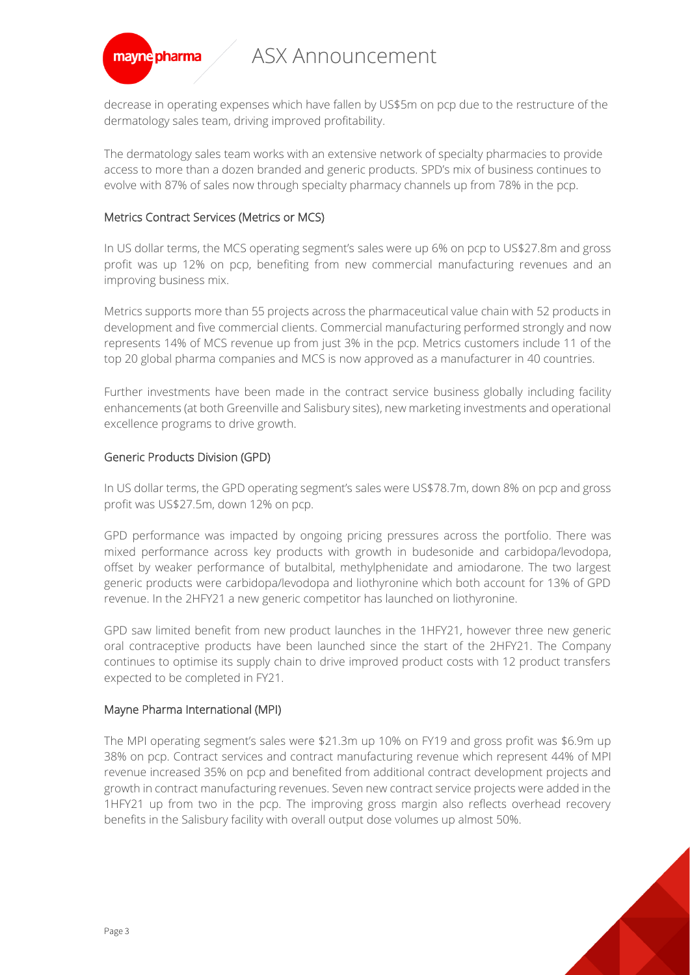

decrease in operating expenses which have fallen by US\$5m on pcp due to the restructure of the dermatology sales team, driving improved profitability.

The dermatology sales team works with an extensive network of specialty pharmacies to provide access to more than a dozen branded and generic products. SPD's mix of business continues to evolve with 87% of sales now through specialty pharmacy channels up from 78% in the pcp.

### Metrics Contract Services (Metrics or MCS)

In US dollar terms, the MCS operating segment's sales were up 6% on pcp to US\$27.8m and gross profit was up 12% on pcp, benefiting from new commercial manufacturing revenues and an improving business mix.

Metrics supports more than 55 projects across the pharmaceutical value chain with 52 products in development and five commercial clients. Commercial manufacturing performed strongly and now represents 14% of MCS revenue up from just 3% in the pcp. Metrics customers include 11 of the top 20 global pharma companies and MCS is now approved as a manufacturer in 40 countries.

Further investments have been made in the contract service business globally including facility enhancements (at both Greenville and Salisbury sites), new marketing investments and operational excellence programs to drive growth.

### Generic Products Division (GPD)

In US dollar terms, the GPD operating segment's sales were US\$78.7m, down 8% on pcp and gross profit was US\$27.5m, down 12% on pcp.

GPD performance was impacted by ongoing pricing pressures across the portfolio. There was mixed performance across key products with growth in budesonide and carbidopa/levodopa, offset by weaker performance of butalbital, methylphenidate and amiodarone. The two largest generic products were carbidopa/levodopa and liothyronine which both account for 13% of GPD revenue. In the 2HFY21 a new generic competitor has launched on liothyronine.

GPD saw limited benefit from new product launches in the 1HFY21, however three new generic oral contraceptive products have been launched since the start of the 2HFY21. The Company continues to optimise its supply chain to drive improved product costs with 12 product transfers expected to be completed in FY21.

### Mayne Pharma International (MPI)

The MPI operating segment's sales were \$21.3m up 10% on FY19 and gross profit was \$6.9m up 38% on pcp. Contract services and contract manufacturing revenue which represent 44% of MPI revenue increased 35% on pcp and benefited from additional contract development projects and growth in contract manufacturing revenues. Seven new contract service projects were added in the 1HFY21 up from two in the pcp. The improving gross margin also reflects overhead recovery benefits in the Salisbury facility with overall output dose volumes up almost 50%.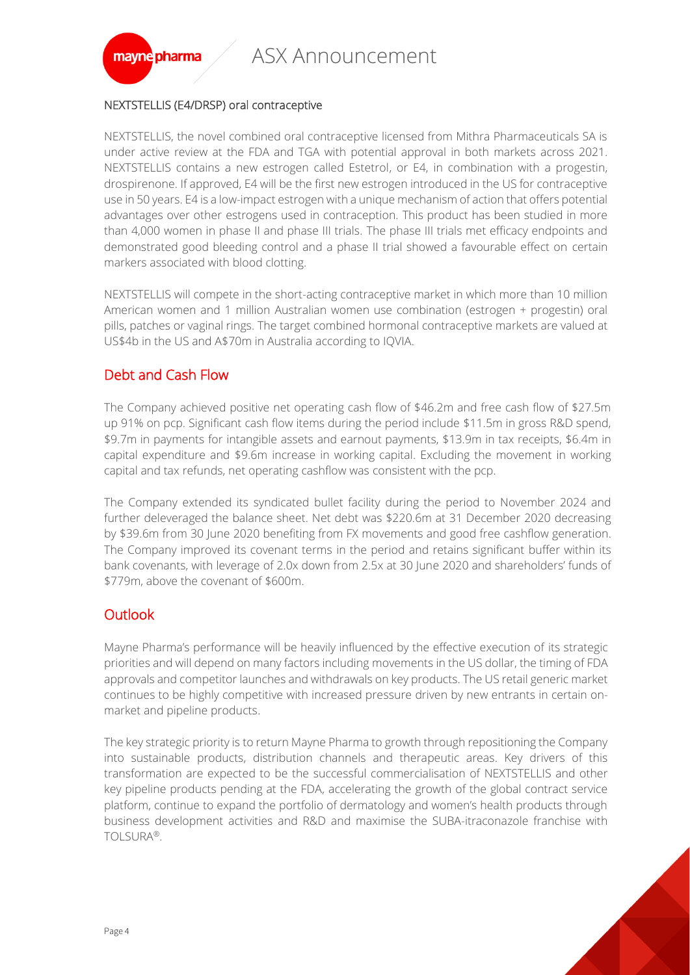

### NEXTSTELLIS (E4/DRSP) oral contraceptive

NEXTSTELLIS, the novel combined oral contraceptive licensed from Mithra Pharmaceuticals SA is under active review at the FDA and TGA with potential approval in both markets across 2021. NEXTSTELLIS contains a new estrogen called Estetrol, or E4, in combination with a progestin, drospirenone. If approved, E4 will be the first new estrogen introduced in the US for contraceptive use in 50 years. E4 is a low-impact estrogen with a unique mechanism of action that offers potential advantages over other estrogens used in contraception. This product has been studied in more than 4,000 women in phase II and phase III trials. The phase III trials met efficacy endpoints and demonstrated good bleeding control and a phase II trial showed a favourable effect on certain markers associated with blood clotting.

NEXTSTELLIS will compete in the short-acting contraceptive market in which more than 10 million American women and 1 million Australian women use combination (estrogen + progestin) oral pills, patches or vaginal rings. The target combined hormonal contraceptive markets are valued at US\$4b in the US and A\$70m in Australia according to IQVIA.

## Debt and Cash Flow

The Company achieved positive net operating cash flow of \$46.2m and free cash flow of \$27.5m up 91% on pcp. Significant cash flow items during the period include \$11.5m in gross R&D spend, \$9.7m in payments for intangible assets and earnout payments, \$13.9m in tax receipts, \$6.4m in capital expenditure and \$9.6m increase in working capital. Excluding the movement in working capital and tax refunds, net operating cashflow was consistent with the pcp.

The Company extended its syndicated bullet facility during the period to November 2024 and further deleveraged the balance sheet. Net debt was \$220.6m at 31 December 2020 decreasing by \$39.6m from 30 June 2020 benefiting from FX movements and good free cashflow generation. The Company improved its covenant terms in the period and retains significant buffer within its bank covenants, with leverage of 2.0x down from 2.5x at 30 June 2020 and shareholders' funds of \$779m, above the covenant of \$600m.

## **Outlook**

Mayne Pharma's performance will be heavily influenced by the effective execution of its strategic priorities and will depend on many factors including movements in the US dollar, the timing of FDA approvals and competitor launches and withdrawals on key products. The US retail generic market continues to be highly competitive with increased pressure driven by new entrants in certain onmarket and pipeline products.

The key strategic priority is to return Mayne Pharma to growth through repositioning the Company into sustainable products, distribution channels and therapeutic areas. Key drivers of this transformation are expected to be the successful commercialisation of NEXTSTELLIS and other key pipeline products pending at the FDA, accelerating the growth of the global contract service platform, continue to expand the portfolio of dermatology and women's health products through business development activities and R&D and maximise the SUBA-itraconazole franchise with TOLSURA®.